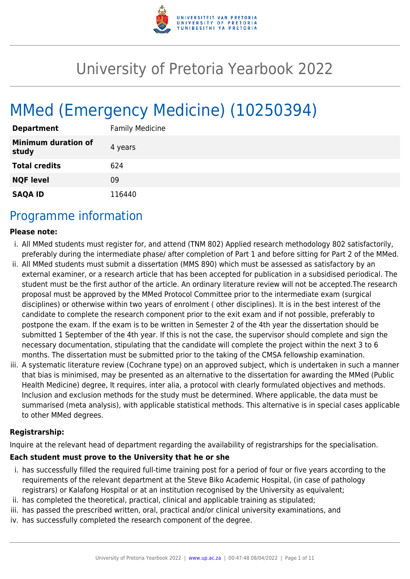

# University of Pretoria Yearbook 2022

# MMed (Emergency Medicine) (10250394)

| <b>Department</b>                   | <b>Family Medicine</b> |
|-------------------------------------|------------------------|
| <b>Minimum duration of</b><br>study | 4 years                |
| <b>Total credits</b>                | 624                    |
| <b>NQF level</b>                    | 09                     |
| <b>SAQA ID</b>                      | 116440                 |

## Programme information

#### **Please note:**

- i. All MMed students must register for, and attend (TNM 802) Applied research methodology 802 satisfactorily, preferably during the intermediate phase/ after completion of Part 1 and before sitting for Part 2 of the MMed.
- ii. All MMed students must submit a dissertation (MMS 890) which must be assessed as satisfactory by an external examiner, or a research article that has been accepted for publication in a subsidised periodical. The student must be the first author of the article. An ordinary literature review will not be accepted.The research proposal must be approved by the MMed Protocol Committee prior to the intermediate exam (surgical disciplines) or otherwise within two years of enrolment ( other disciplines). It is in the best interest of the candidate to complete the research component prior to the exit exam and if not possible, preferably to postpone the exam. If the exam is to be written in Semester 2 of the 4th year the dissertation should be submitted 1 September of the 4th year. If this is not the case, the supervisor should complete and sign the necessary documentation, stipulating that the candidate will complete the project within the next 3 to 6 months. The dissertation must be submitted prior to the taking of the CMSA fellowship examination.
- iii. A systematic literature review (Cochrane type) on an approved subject, which is undertaken in such a manner that bias is minimised, may be presented as an alternative to the dissertation for awarding the MMed (Public Health Medicine) degree, It requires, inter alia, a protocol with clearly formulated objectives and methods. Inclusion and exclusion methods for the study must be determined. Where applicable, the data must be summarised (meta analysis), with applicable statistical methods. This alternative is in special cases applicable to other MMed degrees.

#### **Registrarship:**

Inquire at the relevant head of department regarding the availability of registrarships for the specialisation.

#### **Each student must prove to the University that he or she**

- i. has successfully filled the required full-time training post for a period of four or five years according to the requirements of the relevant department at the Steve Biko Academic Hospital, (in case of pathology registrars) or Kalafong Hospital or at an institution recognised by the University as equivalent;
- ii. has completed the theoretical, practical, clinical and applicable training as stipulated;
- iii. has passed the prescribed written, oral, practical and/or clinical university examinations, and
- iv. has successfully completed the research component of the degree.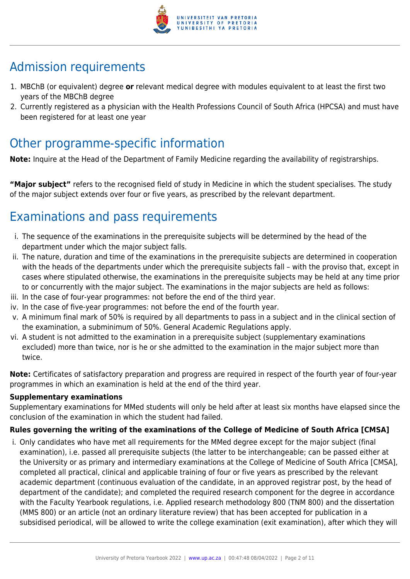

## Admission requirements

- 1. MBChB (or equivalent) degree **or** relevant medical degree with modules equivalent to at least the first two years of the MBChB degree
- 2. Currently registered as a physician with the Health Professions Council of South Africa (HPCSA) and must have been registered for at least one year

## Other programme-specific information

**Note:** Inquire at the Head of the Department of Family Medicine regarding the availability of registrarships.

**"Major subject"** refers to the recognised field of study in Medicine in which the student specialises. The study of the major subject extends over four or five years, as prescribed by the relevant department.

## Examinations and pass requirements

- i. The sequence of the examinations in the prerequisite subjects will be determined by the head of the department under which the major subject falls.
- ii. The nature, duration and time of the examinations in the prerequisite subjects are determined in cooperation with the heads of the departments under which the prerequisite subjects fall – with the proviso that, except in cases where stipulated otherwise, the examinations in the prerequisite subjects may be held at any time prior to or concurrently with the major subject. The examinations in the major subjects are held as follows:
- iii. In the case of four-year programmes: not before the end of the third year.
- iv. In the case of five-year programmes: not before the end of the fourth year.
- v. A minimum final mark of 50% is required by all departments to pass in a subject and in the clinical section of the examination, a subminimum of 50%. General Academic Regulations apply.
- vi. A student is not admitted to the examination in a prerequisite subject (supplementary examinations excluded) more than twice, nor is he or she admitted to the examination in the major subject more than twice.

**Note:** Certificates of satisfactory preparation and progress are required in respect of the fourth year of four-year programmes in which an examination is held at the end of the third year.

#### **Supplementary examinations**

Supplementary examinations for MMed students will only be held after at least six months have elapsed since the conclusion of the examination in which the student had failed.

#### **Rules governing the writing of the examinations of the College of Medicine of South Africa [CMSA]**

i. Only candidates who have met all requirements for the MMed degree except for the major subject (final examination), i.e. passed all prerequisite subjects (the latter to be interchangeable; can be passed either at the University or as primary and intermediary examinations at the College of Medicine of South Africa [CMSA], completed all practical, clinical and applicable training of four or five years as prescribed by the relevant academic department (continuous evaluation of the candidate, in an approved registrar post, by the head of department of the candidate); and completed the required research component for the degree in accordance with the Faculty Yearbook regulations, i.e. Applied research methodology 800 (TNM 800) and the dissertation (MMS 800) or an article (not an ordinary literature review) that has been accepted for publication in a subsidised periodical, will be allowed to write the college examination (exit examination), after which they will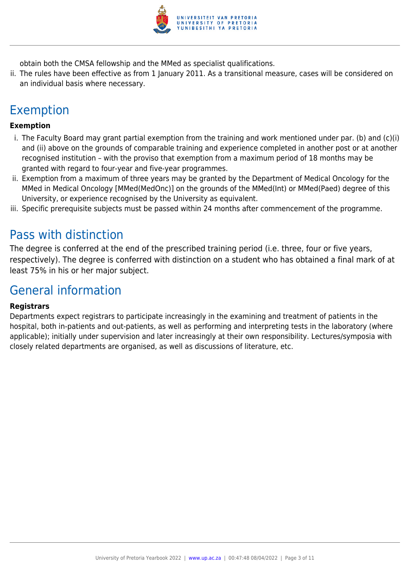

obtain both the CMSA fellowship and the MMed as specialist qualifications.

ii. The rules have been effective as from 1 January 2011. As a transitional measure, cases will be considered on an individual basis where necessary.

## Exemption

#### **Exemption**

- i. The Faculty Board may grant partial exemption from the training and work mentioned under par. (b) and (c)(i) and (ii) above on the grounds of comparable training and experience completed in another post or at another recognised institution – with the proviso that exemption from a maximum period of 18 months may be granted with regard to four-year and five-year programmes.
- ii. Exemption from a maximum of three years may be granted by the Department of Medical Oncology for the MMed in Medical Oncology [MMed(MedOnc)] on the grounds of the MMed(Int) or MMed(Paed) degree of this University, or experience recognised by the University as equivalent.
- iii. Specific prerequisite subjects must be passed within 24 months after commencement of the programme.

## Pass with distinction

The degree is conferred at the end of the prescribed training period (i.e. three, four or five years, respectively). The degree is conferred with distinction on a student who has obtained a final mark of at least 75% in his or her major subject.

## General information

#### **Registrars**

Departments expect registrars to participate increasingly in the examining and treatment of patients in the hospital, both in-patients and out-patients, as well as performing and interpreting tests in the laboratory (where applicable); initially under supervision and later increasingly at their own responsibility. Lectures/symposia with closely related departments are organised, as well as discussions of literature, etc.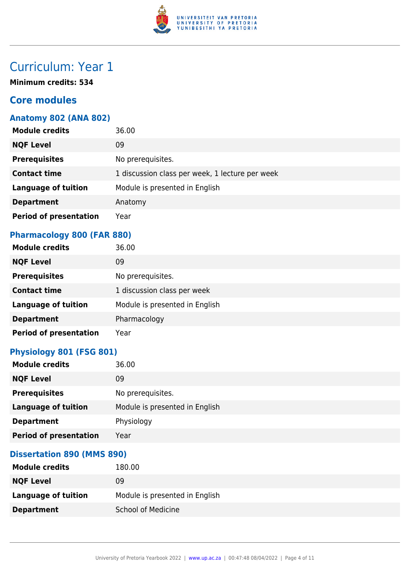

## Curriculum: Year 1

**Minimum credits: 534**

## **Core modules**

#### **Anatomy 802 (ANA 802)**

| <b>Module credits</b>         | 36.00                                           |
|-------------------------------|-------------------------------------------------|
| <b>NQF Level</b>              | 09                                              |
| <b>Prerequisites</b>          | No prerequisites.                               |
| <b>Contact time</b>           | 1 discussion class per week, 1 lecture per week |
| <b>Language of tuition</b>    | Module is presented in English                  |
| <b>Department</b>             | Anatomy                                         |
| <b>Period of presentation</b> | Year                                            |

## **Pharmacology 800 (FAR 880)**

| <b>Module credits</b>         | 36.00                          |
|-------------------------------|--------------------------------|
| <b>NQF Level</b>              | 09                             |
| <b>Prerequisites</b>          | No prerequisites.              |
| <b>Contact time</b>           | 1 discussion class per week    |
| <b>Language of tuition</b>    | Module is presented in English |
| <b>Department</b>             | Pharmacology                   |
| <b>Period of presentation</b> | Year                           |

## **Physiology 801 (FSG 801)**

| <b>Module credits</b>         | 36.00                          |
|-------------------------------|--------------------------------|
| <b>NQF Level</b>              | 09                             |
| <b>Prerequisites</b>          | No prerequisites.              |
| <b>Language of tuition</b>    | Module is presented in English |
| <b>Department</b>             | Physiology                     |
| <b>Period of presentation</b> | Year                           |

#### **Dissertation 890 (MMS 890)**

| <b>Module credits</b> | 180.00                         |
|-----------------------|--------------------------------|
| <b>NQF Level</b>      | 09                             |
| Language of tuition   | Module is presented in English |
| <b>Department</b>     | <b>School of Medicine</b>      |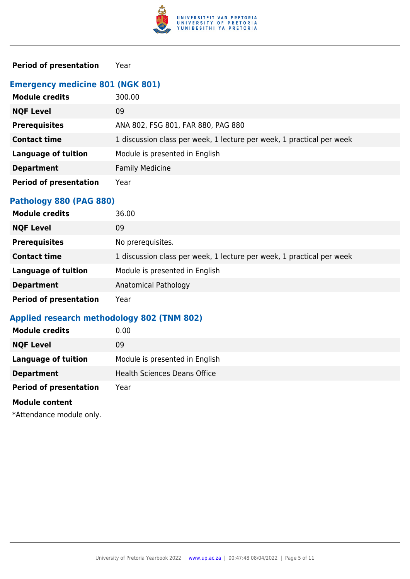

#### **Period of presentation** Year

## **Emergency medicine 801 (NGK 801)**

| <b>Module credits</b>         | 300.00                                                                |
|-------------------------------|-----------------------------------------------------------------------|
| <b>NQF Level</b>              | 09                                                                    |
| <b>Prerequisites</b>          | ANA 802, FSG 801, FAR 880, PAG 880                                    |
| <b>Contact time</b>           | 1 discussion class per week, 1 lecture per week, 1 practical per week |
| <b>Language of tuition</b>    | Module is presented in English                                        |
| <b>Department</b>             | <b>Family Medicine</b>                                                |
| <b>Period of presentation</b> | Year                                                                  |

## **Pathology 880 (PAG 880)**

| <b>Module credits</b>         | 36.00                                                                 |
|-------------------------------|-----------------------------------------------------------------------|
| <b>NQF Level</b>              | 09                                                                    |
| <b>Prerequisites</b>          | No prerequisites.                                                     |
| <b>Contact time</b>           | 1 discussion class per week, 1 lecture per week, 1 practical per week |
| <b>Language of tuition</b>    | Module is presented in English                                        |
| <b>Department</b>             | Anatomical Pathology                                                  |
| <b>Period of presentation</b> | Year                                                                  |

## **Applied research methodology 802 (TNM 802)**

| <b>Module credits</b>         | 0.00                                |
|-------------------------------|-------------------------------------|
| <b>NQF Level</b>              | 09                                  |
| <b>Language of tuition</b>    | Module is presented in English      |
| <b>Department</b>             | <b>Health Sciences Deans Office</b> |
| <b>Period of presentation</b> | Year                                |
| <b>Module content</b>         |                                     |
|                               |                                     |

\*Attendance module only.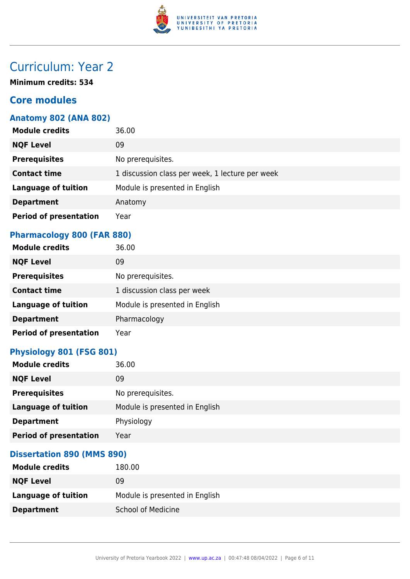

## Curriculum: Year 2

**Minimum credits: 534**

## **Core modules**

#### **Anatomy 802 (ANA 802)**

| <b>Module credits</b>         | 36.00                                           |
|-------------------------------|-------------------------------------------------|
| <b>NQF Level</b>              | 09                                              |
| <b>Prerequisites</b>          | No prerequisites.                               |
| <b>Contact time</b>           | 1 discussion class per week, 1 lecture per week |
| <b>Language of tuition</b>    | Module is presented in English                  |
| <b>Department</b>             | Anatomy                                         |
| <b>Period of presentation</b> | Year                                            |

## **Pharmacology 800 (FAR 880)**

| <b>Module credits</b>         | 36.00                          |
|-------------------------------|--------------------------------|
| <b>NQF Level</b>              | 09                             |
| <b>Prerequisites</b>          | No prerequisites.              |
| <b>Contact time</b>           | 1 discussion class per week    |
| <b>Language of tuition</b>    | Module is presented in English |
| <b>Department</b>             | Pharmacology                   |
| <b>Period of presentation</b> | Year                           |

#### **Physiology 801 (FSG 801)**

| <b>Module credits</b>         | 36.00                          |
|-------------------------------|--------------------------------|
| <b>NQF Level</b>              | 09                             |
| <b>Prerequisites</b>          | No prerequisites.              |
| <b>Language of tuition</b>    | Module is presented in English |
| <b>Department</b>             | Physiology                     |
| <b>Period of presentation</b> | Year                           |

#### **Dissertation 890 (MMS 890)**

| <b>Module credits</b> | 180.00                         |
|-----------------------|--------------------------------|
| <b>NQF Level</b>      | 09                             |
| Language of tuition   | Module is presented in English |
| <b>Department</b>     | <b>School of Medicine</b>      |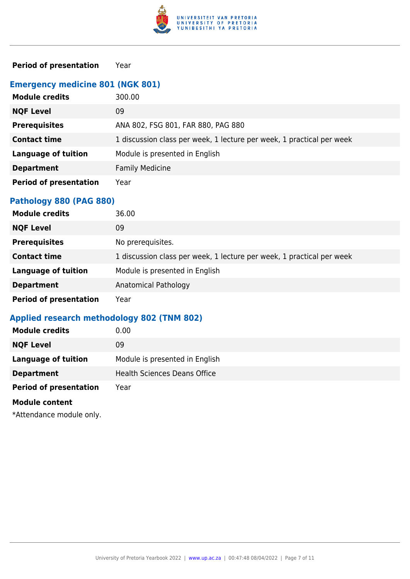

#### **Period of presentation** Year

#### **Emergency medicine 801 (NGK 801)**

| <b>Module credits</b>         | 300.00                                                                |
|-------------------------------|-----------------------------------------------------------------------|
| <b>NQF Level</b>              | 09                                                                    |
| <b>Prerequisites</b>          | ANA 802, FSG 801, FAR 880, PAG 880                                    |
| <b>Contact time</b>           | 1 discussion class per week, 1 lecture per week, 1 practical per week |
| <b>Language of tuition</b>    | Module is presented in English                                        |
| <b>Department</b>             | <b>Family Medicine</b>                                                |
| <b>Period of presentation</b> | Year                                                                  |

## **Pathology 880 (PAG 880)**

| <b>Module credits</b>         | 36.00                                                                 |
|-------------------------------|-----------------------------------------------------------------------|
| <b>NQF Level</b>              | 09                                                                    |
| <b>Prerequisites</b>          | No prerequisites.                                                     |
| <b>Contact time</b>           | 1 discussion class per week, 1 lecture per week, 1 practical per week |
| <b>Language of tuition</b>    | Module is presented in English                                        |
| <b>Department</b>             | Anatomical Pathology                                                  |
| <b>Period of presentation</b> | Year                                                                  |

## **Applied research methodology 802 (TNM 802)**

| <b>Module credits</b>         | 0.00                                |
|-------------------------------|-------------------------------------|
| <b>NQF Level</b>              | 09                                  |
| <b>Language of tuition</b>    | Module is presented in English      |
| <b>Department</b>             | <b>Health Sciences Deans Office</b> |
| <b>Period of presentation</b> | Year                                |
| <b>Module content</b>         |                                     |
|                               |                                     |

\*Attendance module only.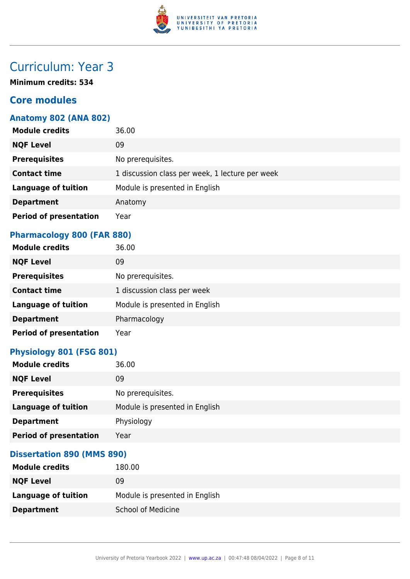

## Curriculum: Year 3

**Minimum credits: 534**

## **Core modules**

#### **Anatomy 802 (ANA 802)**

| <b>Module credits</b>         | 36.00                                           |
|-------------------------------|-------------------------------------------------|
| <b>NQF Level</b>              | 09                                              |
| <b>Prerequisites</b>          | No prerequisites.                               |
| <b>Contact time</b>           | 1 discussion class per week, 1 lecture per week |
| <b>Language of tuition</b>    | Module is presented in English                  |
| <b>Department</b>             | Anatomy                                         |
| <b>Period of presentation</b> | Year                                            |

## **Pharmacology 800 (FAR 880)**

| <b>Module credits</b>         | 36.00                          |
|-------------------------------|--------------------------------|
| <b>NQF Level</b>              | 09                             |
| <b>Prerequisites</b>          | No prerequisites.              |
| <b>Contact time</b>           | 1 discussion class per week    |
| <b>Language of tuition</b>    | Module is presented in English |
| <b>Department</b>             | Pharmacology                   |
| <b>Period of presentation</b> | Year                           |

## **Physiology 801 (FSG 801)**

| <b>Module credits</b>         | 36.00                          |
|-------------------------------|--------------------------------|
| <b>NQF Level</b>              | 09                             |
| <b>Prerequisites</b>          | No prerequisites.              |
| <b>Language of tuition</b>    | Module is presented in English |
| <b>Department</b>             | Physiology                     |
| <b>Period of presentation</b> | Year                           |

#### **Dissertation 890 (MMS 890)**

| <b>Module credits</b> | 180.00                         |
|-----------------------|--------------------------------|
| <b>NQF Level</b>      | 09                             |
| Language of tuition   | Module is presented in English |
| <b>Department</b>     | <b>School of Medicine</b>      |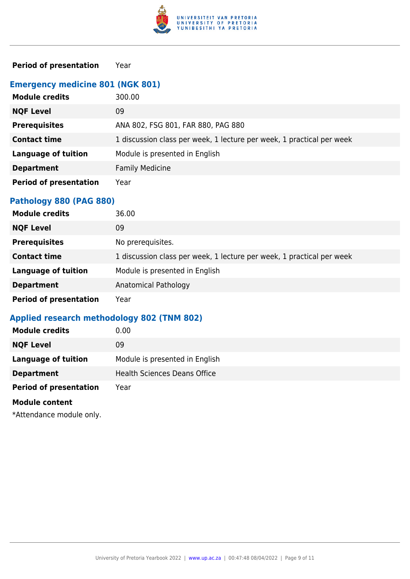

#### **Period of presentation** Year

## **Emergency medicine 801 (NGK 801)**

| <b>Module credits</b>         | 300.00                                                                |
|-------------------------------|-----------------------------------------------------------------------|
| <b>NQF Level</b>              | 09                                                                    |
| <b>Prerequisites</b>          | ANA 802, FSG 801, FAR 880, PAG 880                                    |
| <b>Contact time</b>           | 1 discussion class per week, 1 lecture per week, 1 practical per week |
| <b>Language of tuition</b>    | Module is presented in English                                        |
| <b>Department</b>             | <b>Family Medicine</b>                                                |
| <b>Period of presentation</b> | Year                                                                  |

## **Pathology 880 (PAG 880)**

| <b>Module credits</b>         | 36.00                                                                 |
|-------------------------------|-----------------------------------------------------------------------|
| <b>NQF Level</b>              | 09                                                                    |
| <b>Prerequisites</b>          | No prerequisites.                                                     |
| <b>Contact time</b>           | 1 discussion class per week, 1 lecture per week, 1 practical per week |
| <b>Language of tuition</b>    | Module is presented in English                                        |
| <b>Department</b>             | Anatomical Pathology                                                  |
| <b>Period of presentation</b> | Year                                                                  |

## **Applied research methodology 802 (TNM 802)**

| <b>Module credits</b>         | 0.00                                |
|-------------------------------|-------------------------------------|
| <b>NQF Level</b>              | 09                                  |
| <b>Language of tuition</b>    | Module is presented in English      |
| <b>Department</b>             | <b>Health Sciences Deans Office</b> |
| <b>Period of presentation</b> | Year                                |
| <b>Module content</b>         |                                     |
|                               |                                     |

\*Attendance module only.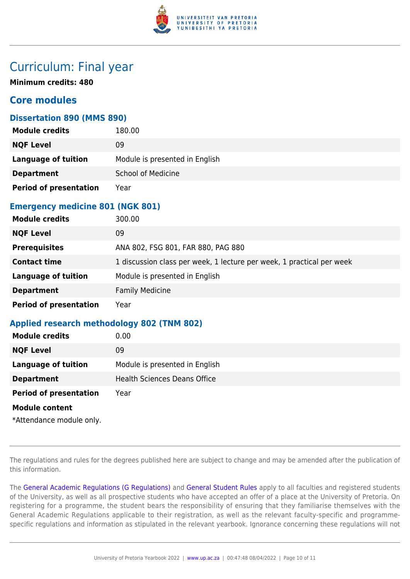

## Curriculum: Final year

**Minimum credits: 480**

## **Core modules**

#### **Dissertation 890 (MMS 890)**

| <b>Module credits</b>         | 180.00                         |
|-------------------------------|--------------------------------|
| <b>NQF Level</b>              | 09                             |
| <b>Language of tuition</b>    | Module is presented in English |
| <b>Department</b>             | <b>School of Medicine</b>      |
| <b>Period of presentation</b> | Year                           |

#### **Emergency medicine 801 (NGK 801)**

| <b>Module credits</b>         | 300.00                                                                |
|-------------------------------|-----------------------------------------------------------------------|
| <b>NQF Level</b>              | 09                                                                    |
| <b>Prerequisites</b>          | ANA 802, FSG 801, FAR 880, PAG 880                                    |
| <b>Contact time</b>           | 1 discussion class per week, 1 lecture per week, 1 practical per week |
| <b>Language of tuition</b>    | Module is presented in English                                        |
| <b>Department</b>             | <b>Family Medicine</b>                                                |
| <b>Period of presentation</b> | Year                                                                  |

#### **Applied research methodology 802 (TNM 802)**

| <b>Module credits</b>         | 0.00                                |
|-------------------------------|-------------------------------------|
| <b>NQF Level</b>              | 09                                  |
| <b>Language of tuition</b>    | Module is presented in English      |
| <b>Department</b>             | <b>Health Sciences Deans Office</b> |
| <b>Period of presentation</b> | Year                                |
| <b>Module content</b>         |                                     |
| *Attendance module only.      |                                     |

The regulations and rules for the degrees published here are subject to change and may be amended after the publication of this information.

The [General Academic Regulations \(G Regulations\)](https://www.up.ac.za/faculty-of-education/yearbooks/2022/rules/view/REG) and [General Student Rules](https://www.up.ac.za/faculty-of-education/yearbooks/2022/rules/view/RUL) apply to all faculties and registered students of the University, as well as all prospective students who have accepted an offer of a place at the University of Pretoria. On registering for a programme, the student bears the responsibility of ensuring that they familiarise themselves with the General Academic Regulations applicable to their registration, as well as the relevant faculty-specific and programmespecific regulations and information as stipulated in the relevant yearbook. Ignorance concerning these regulations will not